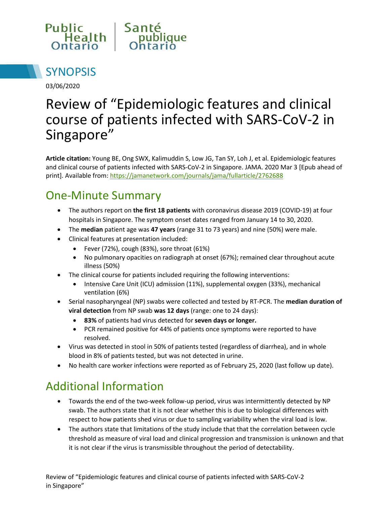



03/06/2020

# Review of "Epidemiologic features and clinical course of patients infected with SARS-CoV-2 in Singapore"

**Article citation:** Young BE, Ong SWX, Kalimuddin S, Low JG, Tan SY, Loh J, et al. Epidemiologic features and clinical course of patients infected with SARS-CoV-2 in Singapore. JAMA. 2020 Mar 3 [Epub ahead of print]. Available from[: https://jamanetwork.com/journals/jama/fullarticle/2762688](https://jamanetwork.com/journals/jama/fullarticle/2762688)

## One-Minute Summary

- The authors report on **the first 18 patients** with coronavirus disease 2019 (COVID-19) at four hospitals in Singapore. The symptom onset dates ranged from January 14 to 30, 2020.
- The **median** patient age was **47 years** (range 31 to 73 years) and nine (50%) were male.
- Clinical features at presentation included:
	- Fever (72%), cough (83%), sore throat (61%)
	- No pulmonary opacities on radiograph at onset (67%); remained clear throughout acute illness (50%)
- The clinical course for patients included requiring the following interventions:
	- Intensive Care Unit (ICU) admission (11%), supplemental oxygen (33%), mechanical ventilation (6%)
- Serial nasopharyngeal (NP) swabs were collected and tested by RT-PCR. The **median duration of viral detection** from NP swab **was 12 days** (range: one to 24 days):
	- **83%** of patients had virus detected for **seven days or longer.**
	- PCR remained positive for 44% of patients once symptoms were reported to have resolved.
- Virus was detected in stool in 50% of patients tested (regardless of diarrhea), and in whole blood in 8% of patients tested, but was not detected in urine.
- No health care worker infections were reported as of February 25, 2020 (last follow up date).

# Additional Information

- Towards the end of the two-week follow-up period, virus was intermittently detected by NP swab. The authors state that it is not clear whether this is due to biological differences with respect to how patients shed virus or due to sampling variability when the viral load is low.
- The authors state that limitations of the study include that that the correlation between cycle threshold as measure of viral load and clinical progression and transmission is unknown and that it is not clear if the virus is transmissible throughout the period of detectability.